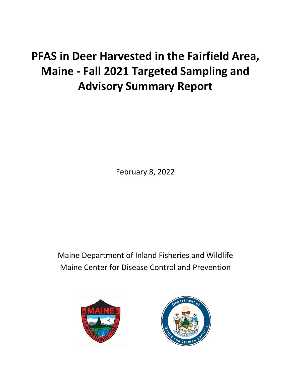# **PFAS in Deer Harvested in the Fairfield Area, Maine - Fall 2021 Targeted Sampling and Advisory Summary Report**

February 8, 2022

Maine Department of Inland Fisheries and Wildlife Maine Center for Disease Control and Prevention



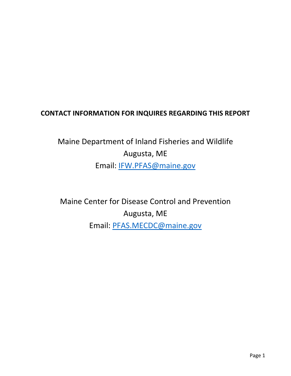## **CONTACT INFORMATION FOR INQUIRES REGARDING THIS REPORT**

## Maine Department of Inland Fisheries and Wildlife Augusta, ME Email: [IFW.PFAS@maine.gov](mailto:IFW.PFAS@maine.gov)

Maine Center for Disease Control and Prevention Augusta, ME Email: [PFAS.MECDC@maine.gov](mailto:PFAS.MECDC@maine.gov)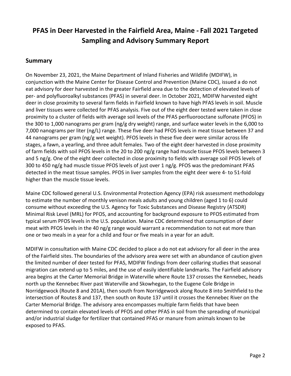## **PFAS in Deer Harvested in the Fairfield Area, Maine - Fall 2021 Targeted Sampling and Advisory Summary Report**

## **Summary**

On November 23, 2021, the Maine Department of Inland Fisheries and Wildlife (MDIFW), in conjunction with the Maine Center for Disease Control and Prevention (Maine CDC), issued a do not eat advisory for deer harvested in the greater Fairfield area due to the detection of elevated levels of per- and polyfluoroalkyl substances (PFAS) in several deer. In October 2021, MDIFW harvested eight deer in close proximity to several farm fields in Fairfield known to have high PFAS levels in soil. Muscle and liver tissues were collected for PFAS analysis. Five out of the eight deer tested were taken in close proximity to a cluster of fields with average soil levels of the PFAS perfluorooctane sulfonate (PFOS) in the 300 to 1,000 nanograms per gram (ng/g dry weight) range, and surface water levels in the 6,000 to 7,000 nanograms per liter (ng/L) range. These five deer had PFOS levels in meat tissue between 37 and 44 nanograms per gram (ng/g wet weight). PFOS levels in these five deer were similar across life stages, a fawn, a yearling, and three adult females. Two of the eight deer harvested in close proximity of farm fields with soil PFOS levels in the 20 to 200 ng/g range had muscle tissue PFOS levels between 3 and 5 ng/g. One of the eight deer collected in close proximity to fields with average soil PFOS levels of 300 to 450 ng/g had muscle tissue PFOS levels of just over 1 ng/g. PFOS was the predominant PFAS detected in the meat tissue samples. PFOS in liver samples from the eight deer were 4- to 51-fold higher than the muscle tissue levels.

Maine CDC followed general U.S. Environmental Protection Agency (EPA) risk assessment methodology to estimate the number of monthly venison meals adults and young children (aged 1 to 6) could consume without exceeding the U.S. Agency for Toxic Substances and Disease Registry (ATSDR) Minimal Risk Level (MRL) for PFOS, and accounting for background exposure to PFOS estimated from typical serum PFOS levels in the U.S. population. Maine CDC determined that consumption of deer meat with PFOS levels in the 40 ng/g range would warrant a recommendation to not eat more than one or two meals in a year for a child and four or five meals in a year for an adult.

MDIFW in consultation with Maine CDC decided to place a do not eat advisory for all deer in the area of the Fairfield sites. The boundaries of the advisory area were set with an abundance of caution given the limited number of deer tested for PFAS, MDIFW findings from deer collaring studies that seasonal migration can extend up to 5 miles, and the use of easily identifiable landmarks. The Fairfield advisory area begins at the Carter Memorial Bridge in Waterville where Route 137 crosses the Kennebec, heads north up the Kennebec River past Waterville and Skowhegan, to the Eugene Cole Bridge in Norridgewock (Route 8 and 201A), then south from Norridgewock along Route 8 into Smithfield to the intersection of Routes 8 and 137, then south on Route 137 until it crosses the Kennebec River on the Carter Memorial Bridge. The advisory area encompasses multiple farm fields that have been determined to contain elevated levels of PFOS and other PFAS in soil from the spreading of municipal and/or industrial sludge for fertilizer that contained PFAS or manure from animals known to be exposed to PFAS.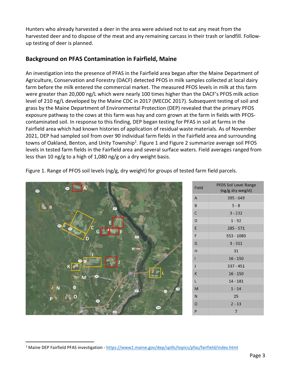Hunters who already harvested a deer in the area were advised not to eat any meat from the harvested deer and to dispose of the meat and any remaining carcass in their trash or landfill. Followup testing of deer is planned.

## **Background on PFAS Contamination in Fairfield, Maine**

An investigation into the presence of PFAS in the Fairfield area began after the Maine Department of Agriculture, Conservation and Forestry (DACF) detected PFOS in milk samples collected at local dairy farm before the milk entered the commercial market. The measured PFOS levels in milk at this farm were greater than 20,000 ng/L which were nearly 100 times higher than the DACF's PFOS milk action level of 210 ng/L developed by the Maine CDC in 2017 (MECDC 2017). Subsequent testing of soil and grass by the Maine Department of Environmental Protection (DEP) revealed that the primary PFOS exposure pathway to the cows at this farm was hay and corn grown at the farm in fields with PFOScontaminated soil. In response to this finding, DEP began testing for PFAS in soil at farms in the Fairfield area which had known histories of application of residual waste materials. As of November 2021, DEP had sampled soil from over 90 individual farm fields in the Fairfield area and surrounding towns of Oakland, Benton, and Unity Township<sup>1</sup>. Figure 1 and Figure 2 summarize average soil PFOS levels in tested farm fields in the Fairfield area and several surface waters. Field averages ranged from less than 10 ng/g to a high of 1,080 ng/g on a dry weight basis.

Figure 1. Range of PFOS soil levels (ng/g, dry weight) for groups of tested farm field parcels.



| Field          | <b>PFOS Soil Level Range</b><br>(ng/g dry weight) |
|----------------|---------------------------------------------------|
| A              | $395 - 649$                                       |
| B              | $5 - 8$                                           |
| C              | $3 - 232$                                         |
| D              | $1 - 92$                                          |
| E              | $285 - 571$                                       |
| F              | 553 - 1080                                        |
| G              | $3 - 311$                                         |
| H              | 31                                                |
| ī              | $16 - 150$                                        |
| $\mathbf{I}$   | $337 - 451$                                       |
| K              | $16 - 150$                                        |
| L              | $14 - 181$                                        |
| M              | $1 - 14$                                          |
| N              | 25                                                |
| $\overline{O}$ | $2 - 13$                                          |
| P              | 7                                                 |

<sup>&</sup>lt;sup>1</sup> Maine DEP Fairfield PFAS investigation - <https://www1.maine.gov/dep/spills/topics/pfas/fairfield/index.html>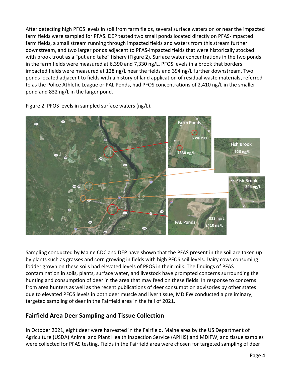After detecting high PFOS levels in soil from farm fields, several surface waters on or near the impacted farm fields were sampled for PFAS. DEP tested two small ponds located directly on PFAS-impacted farm fields, a small stream running through impacted fields and waters from this stream further downstream, and two larger ponds adjacent to PFAS-impacted fields that were historically stocked with brook trout as a "put and take" fishery (Figure 2). Surface water concentrations in the two ponds in the farm fields were measured at 6,390 and 7,330 ng/L. PFOS levels in a brook that borders impacted fields were measured at 128 ng/L near the fields and 394 ng/L further downstream. Two ponds located adjacent to fields with a history of land application of residual waste materials, referred to as the Police Athletic League or PAL Ponds, had PFOS concentrations of 2,410 ng/L in the smaller pond and 832 ng/L in the larger pond.



Figure 2. PFOS levels in sampled surface waters (ng/L).

Sampling conducted by Maine CDC and DEP have shown that the PFAS present in the soil are taken up by plants such as grasses and corn growing in fields with high PFOS soil levels. Dairy cows consuming fodder grown on these soils had elevated levels of PFOS in their milk. The findings of PFAS contamination in soils, plants, surface water, and livestock have prompted concerns surrounding the hunting and consumption of deer in the area that may feed on these fields. In response to concerns from area hunters as well as the recent publications of deer consumption advisories by other states due to elevated PFOS levels in both deer muscle and liver tissue, MDIFW conducted a preliminary, targeted sampling of deer in the Fairfield area in the fall of 2021.

## **Fairfield Area Deer Sampling and Tissue Collection**

In October 2021, eight deer were harvested in the Fairfield, Maine area by the US Department of Agriculture (USDA) Animal and Plant Health Inspection Service (APHIS) and MDIFW, and tissue samples were collected for PFAS testing. Fields in the Fairfield area were chosen for targeted sampling of deer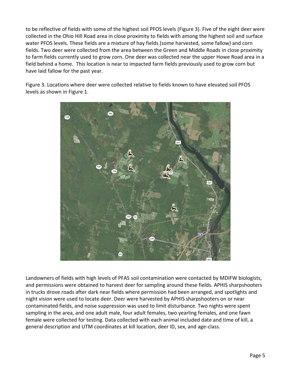to be reflective of fields with some of the highest soil PFOS levels (Figure 3). Five of the eight deer were collected in the Ohio Hill Road area in close proximity to fields with among the highest soil and surface water PFOS levels. These fields are a mixture of hay fields (some harvested, some fallow) and corn fields. Two deer were collected from the area between the Green and Middle Roads in close proximity to farm fields currently used to grow corn. One deer was collected near the upper Howe Road area in a field behind a home. This location is near to impacted farm fields previously used to grow corn but have laid fallow for the past year.

Figure 3. Locations where deer were collected relative to fields known to have elevated soil PFOS levels as shown in Figure 1.



Landowners of fields with high levels of PFAS soil contamination were contacted by MDIFW biologists, and permissions were obtained to harvest deer for sampling around these fields. APHIS sharpshooters in trucks drove roads after dark near fields where permission had been arranged, and spotlights and night vision were used to locate deer. Deer were harvested by APHIS sharpshooters on or near contaminated fields, and noise suppression was used to limit disturbance. Two nights were spent sampling in the area, and one adult male, four adult females, two yearling females, and one fawn female were collected for testing. Data collected with each animal included date and time of kill, a general description and UTM coordinates at kill location, deer ID, sex, and age-class.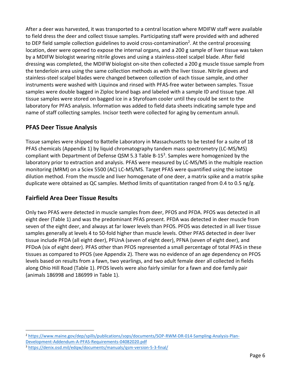After a deer was harvested, it was transported to a central location where MDIFW staff were available to field dress the deer and collect tissue samples. Participating staff were provided with and adhered to DEP field sample collection guidelines to avoid cross-contamination<sup>2</sup>. At the central processing location, deer were opened to expose the internal organs, and a 200 g sample of liver tissue was taken by a MDIFW biologist wearing nitrile gloves and using a stainless-steel scalpel blade. After field dressing was completed, the MDIFW biologist on-site then collected a 200 g muscle tissue sample from the tenderloin area using the same collection methods as with the liver tissue. Nitrile gloves and stainless-steel scalpel blades were changed between collection of each tissue sample, and other instruments were washed with Liquinox and rinsed with PFAS-free water between samples. Tissue samples were double bagged in Ziploc brand bags and labeled with a sample ID and tissue type. All tissue samples were stored on bagged ice in a Styrofoam cooler until they could be sent to the laboratory for PFAS analysis. Information was added to field data sheets indicating sample type and name of staff collecting samples. Incisor teeth were collected for aging by cementum annuli.

## **PFAS Deer Tissue Analysis**

Tissue samples were shipped to Battelle Laboratory in Massachusetts to be tested for a suite of 18 PFAS chemicals (Appendix 1) by liquid chromatography tandem mass spectrometry (LC-MS/MS) compliant with Department of Defense QSM 5.3 Table B-15<sup>3</sup>. Samples were homogenized by the laboratory prior to extraction and analysis. PFAS were measured by LC-MS/MS in the multiple reaction monitoring (MRM) on a Sciex 5500 (AC) LC-MS/MS. Target PFAS were quantified using the isotope dilution method. From the muscle and liver homogenate of one deer, a matrix spike and a matrix spike duplicate were obtained as QC samples. Method limits of quantitation ranged from 0.4 to 0.5 ng/g.

## **Fairfield Area Deer Tissue Results**

Only two PFAS were detected in muscle samples from deer, PFOS and PFDA. PFOS was detected in all eight deer (Table 1) and was the predominant PFAS present. PFDA was detected in deer muscle from seven of the eight deer, and always at far lower levels than PFOS. PFOS was detected in all liver tissue samples generally at levels 4 to 50-fold higher than muscle levels. Other PFAS detected in deer liver tissue include PFDA (all eight deer), PFUnA (seven of eight deer), PFNA (seven of eight deer), and PFDoA (six of eight deer). PFAS other than PFOS represented a small percentage of total PFAS in these tissues as compared to PFOS (see Appendix 2). There was no evidence of an age dependency on PFOS levels based on results from a fawn, two yearlings, and two adult female deer all collected in fields along Ohio Hill Road (Table 1). PFOS levels were also fairly similar for a fawn and doe family pair (animals 186998 and 186999 in Table 1).

<sup>2</sup> [https://www.maine.gov/dep/spills/publications/sops/documents/SOP-RWM-DR-014-Sampling-Analysis-Plan-](https://www.maine.gov/dep/spills/publications/sops/documents/SOP-RWM-DR-014-Sampling-Analysis-Plan-Development-Addendum-A-PFAS-Requirements-04082020.pdf)[Development-Addendum-A-PFAS-Requirements-04082020.pdf](https://www.maine.gov/dep/spills/publications/sops/documents/SOP-RWM-DR-014-Sampling-Analysis-Plan-Development-Addendum-A-PFAS-Requirements-04082020.pdf)

<sup>3</sup> <https://denix.osd.mil/edqw/documents/manuals/qsm-version-5-3-final/>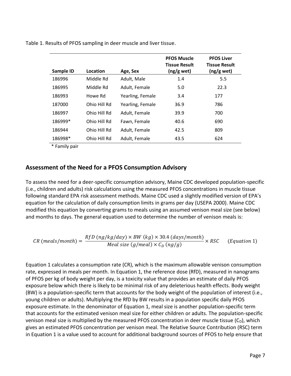Table 1. Results of PFOS sampling in deer muscle and liver tissue.

| Sample ID    | Location     | Age, Sex         | <b>PFOS Muscle</b><br>Tissue Result<br>(ng/g wet) | <b>PFOS Liver</b><br><b>Tissue Result</b><br>$(ng/g$ wet) |
|--------------|--------------|------------------|---------------------------------------------------|-----------------------------------------------------------|
| 186996       | Middle Rd    | Adult, Male      | 1.4                                               | 5.5                                                       |
| 186995       | Middle Rd    | Adult, Female    | 5.0                                               | 22.3                                                      |
| 186993       | Howe Rd      | Yearling, Female | 3.4                                               | 177                                                       |
| 187000       | Ohio Hill Rd | Yearling, Female | 36.9                                              | 786                                                       |
| 186997       | Ohio Hill Rd | Adult, Female    | 39.9                                              | 700                                                       |
| 186999*      | Ohio Hill Rd | Fawn, Female     | 40.6                                              | 690                                                       |
| 186944       | Ohio Hill Rd | Adult, Female    | 42.5                                              | 809                                                       |
| 186998*      | Ohio Hill Rd | Adult, Female    | 43.5                                              | 624                                                       |
| 金 ロー・パー・エンジン |              |                  |                                                   |                                                           |

\* Family pair

## **Assessment of the Need for a PFOS Consumption Advisory**

To assess the need for a deer-specific consumption advisory, Maine CDC developed population-specific (i.e., children and adults) risk calculations using the measured PFOS concentrations in muscle tissue following standard EPA risk assessment methods. Maine CDC used a slightly modified version of EPA's equation for the calculation of daily consumption limits in grams per day (USEPA 2000). Maine CDC modified this equation by converting grams to meals using an assumed venison meal size (see below) and months to days. The general equation used to determine the number of venison meals is:

$$
CR \ (meals/month) = \frac{RfD \ (ng/kg/day) \times BW \ (kg) \times 30.4 \ (days/month)}{Mean \ size \ (g/mcal) \times C_D \ (ng/g)} \times RSC \qquad (Equation 1)
$$

Equation 1 calculates a consumption rate (CR), which is the maximum allowable venison consumption rate, expressed in meals per month. In Equation 1, the reference dose (RfD), measured in nanograms of PFOS per kg of body weight per day, is a toxicity value that provides an estimate of daily PFOS exposure below which there is likely to be minimal risk of any deleterious health effects. Body weight (BW) is a population-specific term that accounts for the body weight of the population of interest (i.e., young children or adults). Multiplying the RfD by BW results in a population specific daily PFOS exposure estimate. In the denominator of Equation 1, meal size is another population-specific term that accounts for the estimated venison meal size for either children or adults. The population-specific venison meal size is multiplied by the measured PFOS concentration in deer muscle tissue  $(C_D)$ , which gives an estimated PFOS concentration per venison meal. The Relative Source Contribution (RSC) term in Equation 1 is a value used to account for additional background sources of PFOS to help ensure that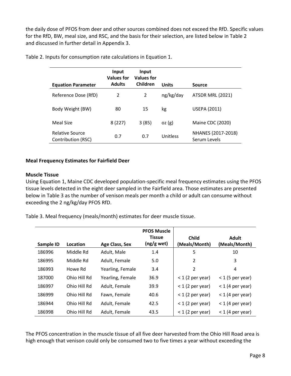the daily dose of PFOS from deer and other sources combined does not exceed the RfD. Specific values for the RfD, BW, meal size, and RSC, and the basis for their selection, are listed below in Table 2 and discussed in further detail in Appendix 3.

| <b>Equation Parameter</b>                    | Input<br><b>Values for</b><br><b>Adults</b> | Input<br><b>Values for</b><br>Children | <b>Units</b> | Source                             |
|----------------------------------------------|---------------------------------------------|----------------------------------------|--------------|------------------------------------|
| Reference Dose (RfD)                         | 2                                           | 2                                      | ng/kg/day    | ATSDR MRL (2021)                   |
| Body Weight (BW)                             | 80                                          | 15                                     | kg           | <b>USEPA (2011)</b>                |
| Meal Size                                    | 8(227)                                      | 3(85)                                  | oz(g)        | Maine CDC (2020)                   |
| <b>Relative Source</b><br>Contribution (RSC) | 0.7                                         | 0.7                                    | Unitless     | NHANES (2017-2018)<br>Serum Levels |

Table 2. Inputs for consumption rate calculations in Equation 1.

## **Meal Frequency Estimates for Fairfield Deer**

#### **Muscle Tissue**

Using Equation 1, Maine CDC developed population-specific meal frequency estimates using the PFOS tissue levels detected in the eight deer sampled in the Fairfield area. Those estimates are presented below in Table 3 as the number of venison meals per month a child or adult can consume without exceeding the 2 ng/kg/day PFOS RfD.

Table 3. Meal frequency (meals/month) estimates for deer muscle tissue.

|           |              |                  | <b>PFOS Muscle</b><br><b>Tissue</b> | <b>Child</b>       | <b>Adult</b>       |
|-----------|--------------|------------------|-------------------------------------|--------------------|--------------------|
| Sample ID | Location     | Age Class, Sex   | (ng/g wet)                          | (Meals/Month)      | (Meals/Month)      |
| 186996    | Middle Rd    | Adult, Male      | 1.4                                 | 5                  | 10                 |
| 186995    | Middle Rd    | Adult, Female    | 5.0                                 | 2                  | 3                  |
| 186993    | Howe Rd      | Yearling, Female | 3.4                                 | 2                  | 4                  |
| 187000    | Ohio Hill Rd | Yearling, Female | 36.9                                | $<$ 1 (2 per year) | $<$ 1 (5 per year) |
| 186997    | Ohio Hill Rd | Adult, Female    | 39.9                                | $<$ 1 (2 per year) | $<$ 1 (4 per year) |
| 186999    | Ohio Hill Rd | Fawn, Female     | 40.6                                | $<$ 1 (2 per year) | $<$ 1 (4 per year) |
| 186944    | Ohio Hill Rd | Adult, Female    | 42.5                                | $<$ 1 (2 per year) | $<$ 1 (4 per year) |
| 186998    | Ohio Hill Rd | Adult, Female    | 43.5                                | $<$ 1 (2 per year) | $<$ 1 (4 per year) |

The PFOS concentration in the muscle tissue of all five deer harvested from the Ohio Hill Road area is high enough that venison could only be consumed two to five times a year without exceeding the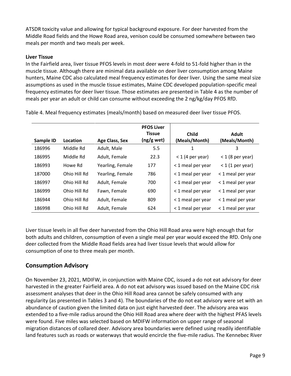ATSDR toxicity value and allowing for typical background exposure. For deer harvested from the Middle Road fields and the Howe Road area, venison could be consumed somewhere between two meals per month and two meals per week.

## **Liver Tissue**

In the Fairfield area, liver tissue PFOS levels in most deer were 4-fold to 51-fold higher than in the muscle tissue. Although there are minimal data available on deer liver consumption among Maine hunters, Maine CDC also calculated meal frequency estimates for deer liver. Using the same meal size assumptions as used in the muscle tissue estimates, Maine CDC developed population-specific meal frequency estimates for deer liver tissue. Those estimates are presented in Table 4 as the number of meals per year an adult or child can consume without exceeding the 2 ng/kg/day PFOS RfD.

|           |              |                       | <b>PFOS Liver</b><br><b>Tissue</b> | <b>Child</b>       | <b>Adult</b>       |
|-----------|--------------|-----------------------|------------------------------------|--------------------|--------------------|
| Sample ID | Location     | <b>Age Class, Sex</b> | $(ng/g$ wet)                       | (Meals/Month)      | (Meals/Month)      |
| 186996    | Middle Rd    | Adult, Male           | 5.5                                | 1                  | 3                  |
| 186995    | Middle Rd    | Adult, Female         | 22.3                               | $<$ 1 (4 per year) | $<$ 1 (8 per year) |
| 186993    | Howe Rd      | Yearling, Female      | 177                                | < 1 meal per year  | $<$ 1 (1 per year) |
| 187000    | Ohio Hill Rd | Yearling, Female      | 786                                | < 1 meal per year  | < 1 meal per year  |
| 186997    | Ohio Hill Rd | Adult, Female         | 700                                | < 1 meal per year  | < 1 meal per year  |
| 186999    | Ohio Hill Rd | Fawn, Female          | 690                                | < 1 meal per year  | < 1 meal per year  |
| 186944    | Ohio Hill Rd | Adult, Female         | 809                                | < 1 meal per year  | < 1 meal per year  |
| 186998    | Ohio Hill Rd | Adult, Female         | 624                                | < 1 meal per year  | < 1 meal per year  |

Table 4. Meal frequency estimates (meals/month) based on measured deer liver tissue PFOS.

Liver tissue levels in all five deer harvested from the Ohio Hill Road area were high enough that for both adults and children, consumption of even a single meal per year would exceed the RfD. Only one deer collected from the Middle Road fields area had liver tissue levels that would allow for consumption of one to three meals per month.

## **Consumption Advisory**

On November 23, 2021, MDIFW, in conjunction with Maine CDC, issued a do not eat advisory for deer harvested in the greater Fairfield area. A do not eat advisory was issued based on the Maine CDC risk assessment analyses that deer in the Ohio Hill Road area cannot be safely consumed with any regularity (as presented in Tables 3 and 4). The boundaries of the do not eat advisory were set with an abundance of caution given the limited data on just eight harvested deer. The advisory area was extended to a five-mile radius around the Ohio Hill Road area where deer with the highest PFAS levels were found. Five miles was selected based on MDIFW information on upper range of seasonal migration distances of collared deer. Advisory area boundaries were defined using readily identifiable land features such as roads or waterways that would encircle the five-mile radius. The Kennebec River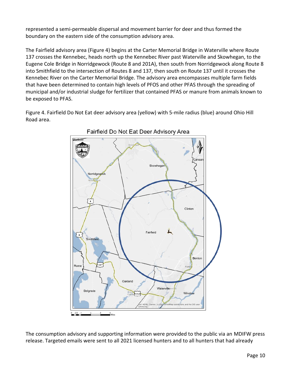represented a semi-permeable dispersal and movement barrier for deer and thus formed the boundary on the eastern side of the consumption advisory area.

The Fairfield advisory area (Figure 4) begins at the Carter Memorial Bridge in Waterville where Route 137 crosses the Kennebec, heads north up the Kennebec River past Waterville and Skowhegan, to the Eugene Cole Bridge in Norridgewock (Route 8 and 201A), then south from Norridgewock along Route 8 into Smithfield to the intersection of Routes 8 and 137, then south on Route 137 until it crosses the Kennebec River on the Carter Memorial Bridge. The advisory area encompasses multiple farm fields that have been determined to contain high levels of PFOS and other PFAS through the spreading of municipal and/or industrial sludge for fertilizer that contained PFAS or manure from animals known to be exposed to PFAS.

Figure 4. Fairfield Do Not Eat deer advisory area (yellow) with 5-mile radius (blue) around Ohio Hill Road area.



Fairfield Do Not Eat Deer Advisory Area

The consumption advisory and supporting information were provided to the public via an MDIFW press release. Targeted emails were sent to all 2021 licensed hunters and to all hunters that had already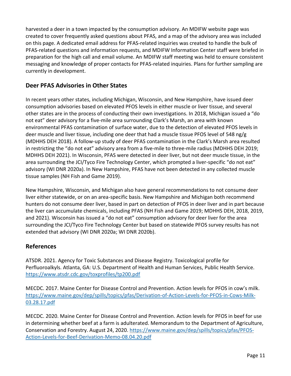harvested a deer in a town impacted by the consumption advisory. An MDIFW website page was created to cover frequently asked questions about PFAS, and a map of the advisory area was included on this page. A dedicated email address for PFAS-related inquiries was created to handle the bulk of PFAS-related questions and information requests, and MDIFW Information Center staff were briefed in preparation for the high call and email volume. An MDIFW staff meeting was held to ensure consistent messaging and knowledge of proper contacts for PFAS-related inquiries. Plans for further sampling are currently in development.

## **Deer PFAS Advisories in Other States**

In recent years other states, including Michigan, Wisconsin, and New Hampshire, have issued deer consumption advisories based on elevated PFOS levels in either muscle or liver tissue, and several other states are in the process of conducting their own investigations. In 2018, Michigan issued a "do not eat" deer advisory for a five-mile area surrounding Clark's Marsh, an area with known environmental PFAS contamination of surface water, due to the detection of elevated PFOS levels in deer muscle and liver tissue, including one deer that had a muscle tissue PFOS level of 548 ng/g (MDHHS DEH 2018). A follow-up study of deer PFAS contamination in the Clark's Marsh area resulted in restricting the "do not eat" advisory area from a five-mile to three-mile radius (MDHHS DEH 2019; MDHHS DEH 2021). In Wisconsin, PFAS were detected in deer liver, but not deer muscle tissue, in the area surrounding the JCI/Tyco Fire Technology Center, which prompted a liver-specific "do not eat" advisory (WI DNR 2020a). In New Hampshire, PFAS have not been detected in any collected muscle tissue samples (NH Fish and Game 2019).

New Hampshire, Wisconsin, and Michigan also have general recommendations to not consume deer liver either statewide, or on an area-specific basis. New Hampshire and Michigan both recommend hunters do not consume deer liver, based in part on detection of PFOS in deer liver and in part because the liver can accumulate chemicals, including PFAS (NH Fish and Game 2019; MDHHS DEH, 2018, 2019, and 2021). Wisconsin has issued a "do not eat" consumption advisory for deer liver for the area surrounding the JCI/Tyco Fire Technology Center but based on statewide PFOS survey results has not extended that advisory (WI DNR 2020a; WI DNR 2020b).

## **References**

ATSDR. 2021. Agency for Toxic Substances and Disease Registry. Toxicological profile for Perfluoroalkyls. Atlanta, GA: U.S. Department of Health and Human Services, Public Health Service. <https://www.atsdr.cdc.gov/toxprofiles/tp200.pdf>

MECDC. 2017. Maine Center for Disease Control and Prevention. Action levels for PFOS in cow's milk. [https://www.maine.gov/dep/spills/topics/pfas/Derivation-of-Action-Levels-for-PFOS-in-Cows-Milk-](https://www.maine.gov/dep/spills/topics/pfas/Derivation-of-Action-Levels-for-PFOS-in-Cows-Milk-03.28.17.pdf)[03.28.17.pdf](https://www.maine.gov/dep/spills/topics/pfas/Derivation-of-Action-Levels-for-PFOS-in-Cows-Milk-03.28.17.pdf)

MECDC. 2020. Maine Center for Disease Control and Prevention. Action levels for PFOS in beef for use in determining whether beef at a farm is adulterated. Memorandum to the Department of Agriculture, Conservation and Forestry. August 24, 2020. [https://www.maine.gov/dep/spills/topics/pfas/PFOS-](https://www.maine.gov/dep/spills/topics/pfas/PFOS-Action-Levels-for-Beef-Derivation-Memo-08.04.20.pdf)[Action-Levels-for-Beef-Derivation-Memo-08.04.20.pdf](https://www.maine.gov/dep/spills/topics/pfas/PFOS-Action-Levels-for-Beef-Derivation-Memo-08.04.20.pdf)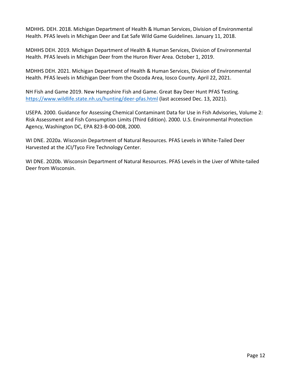MDHHS. DEH. 2018. Michigan Department of Health & Human Services, Division of Environmental Health. PFAS levels in Michigan Deer and Eat Safe Wild Game Guidelines. January 11, 2018.

MDHHS DEH. 2019. Michigan Department of Health & Human Services, Division of Environmental Health. PFAS levels in Michigan Deer from the Huron River Area. October 1, 2019.

MDHHS DEH. 2021. Michigan Department of Health & Human Services, Division of Environmental Health. PFAS levels in Michigan Deer from the Oscoda Area, Iosco County. April 22, 2021.

NH Fish and Game 2019. New Hampshire Fish and Game. Great Bay Deer Hunt PFAS Testing. <https://www.wildlife.state.nh.us/hunting/deer-pfas.html> (last accessed Dec. 13, 2021).

USEPA. 2000. Guidance for Assessing Chemical Contaminant Data for Use in Fish Advisories, Volume 2: Risk Assessment and Fish Consumption Limits (Third Edition). 2000. U.S. Environmental Protection Agency, Washington DC, EPA 823-B-00-008, 2000.

WI DNE. 2020a. Wisconsin Department of Natural Resources. PFAS Levels in White-Tailed Deer Harvested at the JCI/Tyco Fire Technology Center.

WI DNE. 2020b. Wisconsin Department of Natural Resources. PFAS Levels in the Liver of White-tailed Deer from Wisconsin.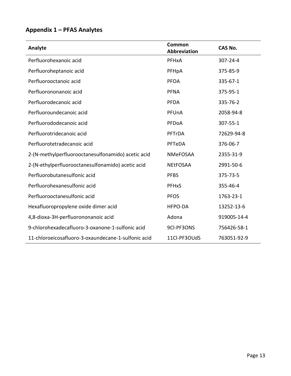## **Appendix 1 – PFAS Analytes**

| Analyte                                             | Common<br><b>Abbreviation</b> | <b>CAS No.</b> |
|-----------------------------------------------------|-------------------------------|----------------|
| Perfluorohexanoic acid                              | PFHxA                         | 307-24-4       |
| Perfluoroheptanoic acid                             | PFHpA                         | 375-85-9       |
| Perfluorooctanoic acid                              | <b>PFOA</b>                   | 335-67-1       |
| Perfluorononanoic acid                              | <b>PFNA</b>                   | 375-95-1       |
| Perfluorodecanoic acid                              | <b>PFDA</b>                   | 335-76-2       |
| Perfluoroundecanoic acid                            | PFUnA                         | 2058-94-8      |
| Perfluorododecanoic acid                            | PFDoA                         | 307-55-1       |
| Perfluorotridecanoic acid                           | PFTrDA                        | 72629-94-8     |
| Perfluorotetradecanoic acid                         | PFTeDA                        | 376-06-7       |
| 2-(N-methylperfluorooctanesulfonamido) acetic acid  | <b>NMeFOSAA</b>               | 2355-31-9      |
| 2-(N-ethylperfluorooctanesulfonamido) acetic acid   | <b>NEtFOSAA</b>               | 2991-50-6      |
| Perfluorobutanesulfonic acid                        | <b>PFBS</b>                   | 375-73-5       |
| Perfluorohexanesulfonic acid                        | <b>PFHxS</b>                  | 355-46-4       |
| Perfluorooctanesulfonic acid                        | <b>PFOS</b>                   | 1763-23-1      |
| Hexafluoropropylene oxide dimer acid                | <b>HFPO-DA</b>                | 13252-13-6     |
| 4,8-dioxa-3H-perfluorononanoic acid                 | Adona                         | 919005-14-4    |
| 9-chlorohexadecafluoro-3-oxanone-1-sulfonic acid    | 9Cl-PF3ONS                    | 756426-58-1    |
| 11-chloroeicosafluoro-3-oxaundecane-1-sulfonic acid | 11Cl-PF3OUdS                  | 763051-92-9    |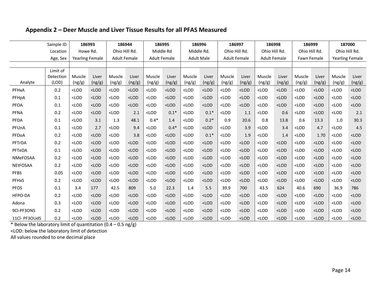## **Appendix 2 – Deer Muscle and Liver Tissue Results for all PFAS Measured**

| Sample ID                          |                                | 186993           |                                            | 186944           |                 |                   | 186995<br>186996 |                     | 186997          |                     | 186998          |                  | 186999          |                        | 187000          |                                                  |                 |
|------------------------------------|--------------------------------|------------------|--------------------------------------------|------------------|-----------------|-------------------|------------------|---------------------|-----------------|---------------------|-----------------|------------------|-----------------|------------------------|-----------------|--------------------------------------------------|-----------------|
| Location<br>Howe Rd.               |                                | Ohio Hill Rd.    |                                            | Middle Rd        |                 | Middle Rd.        |                  | Ohio Hill Rd.       |                 | Ohio Hill Rd.       |                 | Ohio Hill Rd.    |                 | Ohio Hill Rd.          |                 |                                                  |                 |
| <b>Yearling Female</b><br>Age, Sex |                                |                  | <b>Adult Female</b><br><b>Adult Female</b> |                  |                 | <b>Adult Male</b> |                  | <b>Adult Female</b> |                 | <b>Adult Female</b> |                 | Fawn Female      |                 | <b>Yearling Female</b> |                 |                                                  |                 |
|                                    |                                |                  |                                            |                  |                 |                   |                  |                     |                 |                     |                 |                  |                 |                        |                 |                                                  |                 |
| Analyte                            | Limit of<br>Detection<br>(LOD) | Muscle<br>(ng/g) | Liver<br>(ng/g)                            | Muscle<br>(ng/g) | Liver<br>(ng/g) | Muscle<br>(ng/g)  | Liver<br>(ng/g)  | Muscle<br>(ng/g)    | Liver<br>(ng/g) | Muscle<br>(ng/g)    | Liver<br>(ng/g) | Muscle<br>(ng/g) | Liver<br>(ng/g) | Muscle<br>(ng/g)       | Liver<br>(ng/g) | Muscle<br>(ng/g)                                 | Liver<br>(ng/g) |
| PFHxA                              | 0.2                            | $<$ LOD          | $<$ LOD                                    | $<$ LOD          | $<$ LOD         | $<$ LOD           | $<$ LOD          | $<$ LOD             | $<$ LOD         | $<$ LOD             | $<$ LOD         | $<$ LOD          | $<$ LOD         | $<$ LOD                | $<$ LOD         | $<$ LOD                                          | $<$ LOD         |
| PFHpA                              | 0.1                            | $<$ LOD          | $<$ LOD                                    | $<$ LOD          | $<$ LOD         | $<$ LOD           | $<$ LOD          | $<$ LOD             | $<$ LOD         | $<$ LOD             | $<$ LOD         | $<$ LOD          | $<$ LOD         | $<$ LOD                | $<$ LOD         | $<$ LOD                                          | $<$ LOD         |
| <b>PFOA</b>                        | 0.1                            | $<$ LOD          | $<$ LOD                                    | $<$ LOD          | $<$ LOD         | $<$ LOD           | $<$ LOD          | $<$ LOD             | $<$ LOD         | $<$ LOD             | $<$ LOD         | $<$ LOD          | $<$ LOD         | $<$ LOD                | $<$ LOD         | $<$ LOD                                          | $<$ LOD         |
| <b>PFNA</b>                        | 0.2                            | $<$ LOD          | $<$ LOD                                    | $<$ LOD          | 2.1             | $<$ LOD           | $0.1*$           | $<$ LOD             | $0.1*$          | $<$ LOD             | 1.1             | $<$ LOD          | 0.6             | $<$ LOD                | $<$ LOD         | $<$ LOD                                          | 2.1             |
| PFDA                               | 0.1                            | $<$ LOD          | 3.1                                        | 1.3              | 48.1            | $0.4*$            | 1.4              | $<$ LOD             | $0.2*$          | 0.9                 | 20.6            | 0.8              | 13.8            | 0.6                    | 13.3            | 1.0                                              | 30.3            |
| PFUnA                              | 0.1                            | $<$ LOD          | 2.7                                        | $<$ LOD          | 9.4             | $<$ LOD           | $0.4*$           | $<$ LOD             | $<$ LOD         | $<$ LOD             | 3.9             | $<$ LOD          | 3.4             | $<$ LOD                | 4.7             | $<$ LOD                                          | 4.5             |
| PFDoA                              | 0.2                            | $<$ LOD          | $<$ LOD                                    | $<$ LOD          | 3.8             | $<$ LOD           | $<$ LOD          | $<$ LOD             | $0.1*$          | $<$ LOD             | 1.9             | $<$ LOD          | 1.4             | $<$ LOD                | 1.70            | $<$ LOD                                          | $<$ LOD         |
| PFTrDA                             | 0.2                            | $<$ LOD          | $<$ LOD                                    | $<$ LOD          | $<$ LOD         | $<$ LOD           | $<$ LOD          | $<$ LOD             | $<$ LOD         | $<$ LOD             | $<$ LOD         | $<$ LOD          | $<$ LOD         | $<$ LOD                | $<$ LOD         | $<$ LOD                                          | $<$ LOD         |
| PFTeDA                             | 0.1                            | $<$ LOD          | $<$ LOD                                    | $<$ LOD          | $<$ LOD         | $<$ LOD           | $<$ LOD          | $<$ LOD             | $<$ LOD         | $<$ LOD             | $<$ LOD         | $<$ LOD          | $<$ LOD         | $<$ LOD                | $<$ LOD         | $<$ LOD                                          | $<$ LOD         |
| NMeFOSAA                           | 0.2                            | $<$ LOD          | $<$ LOD                                    | $<$ LOD          | $<$ LOD         | $<$ LOD           | $<$ LOD          | $<$ LOD             | $<$ LOD         | $<$ LOD             | $<$ LOD         | $<$ LOD          | $<$ LOD         | $<$ LOD                | $<$ LOD         | $<$ LOD                                          | $<$ LOD         |
| NEtFOSAA                           | 0.2                            | $<$ LOD          | $<$ LOD                                    | $<$ LOD          | $<$ LOD         | $<$ LOD           | $<$ LOD          | $<$ LOD             | $<$ LOD         | $<$ LOD             | $<$ LOD         | $<$ LOD          | $<$ LOD         | $<$ LOD                | $<$ LOD         | <lod< td=""><td><math>&lt;</math>LOD</td></lod<> | $<$ LOD         |
| <b>PFBS</b>                        | 0.05                           | $<$ LOD          | $<$ LOD                                    | $<$ LOD          | $<$ LOD         | $<$ LOD           | $<$ LOD          | $<$ LOD             | $<$ LOD         | $<$ LOD             | $<$ LOD         | $<$ LOD          | $<$ LOD         | $<$ LOD                | $<$ LOD         | $<$ LOD                                          | $<$ LOD         |
| PFHxS                              | 0.2                            | $<$ LOD          | $<$ LOD                                    | $<$ LOD          | $<$ LOD         | $<$ LOD           | $<$ LOD          | $<$ LOD             | $<$ LOD         | $<$ LOD             | $<$ LOD         | $<$ LOD          | $<$ LOD         | $<$ LOD                | $<$ LOD         | $<$ LOD                                          | $<$ LOD         |
| <b>PFOS</b>                        | 0.1                            | 3.4              | 177                                        | 42.5             | 809             | 5.0               | 22.3             | 1.4                 | 5.5             | 39.9                | 700             | 43.5             | 624             | 40.6                   | 690             | 36.9                                             | 786             |
| HFPO-DA                            | 0.2                            | $<$ LOD          | $<$ LOD                                    | $<$ LOD          | $<$ LOD         | $<$ LOD           | $<$ LOD          | $<$ LOD             | $<$ LOD         | $<$ LOD             | $<$ LOD         | $<$ LOD          | $<$ LOD         | $<$ LOD                | $<$ LOD         | $<$ LOD                                          | $<$ LOD         |
| Adona                              | 0.3                            | $<$ LOD          | $<$ LOD                                    | $<$ LOD          | $<$ LOD         | $<$ LOD           | $<$ LOD          | $<$ LOD             | $<$ LOD         | $<$ LOD             | $<$ LOD         | $<$ LOD          | $<$ LOD         | $<$ LOD                | $<$ LOD         | $<$ LOD                                          | $<$ LOD         |
| 9Cl-PF3ONS                         | 0.2                            | $<$ LOD          | $<$ LOD                                    | $<$ LOD          | $<$ LOD         | $<$ LOD           | $<$ LOD          | $<$ LOD             | $<$ LOD         | $<$ LOD             | $<$ LOD         | $<$ LOD          | $<$ LOD         | $<$ LOD                | $<$ LOD         | $<$ LOD                                          | $<$ LOD         |
| 11Cl- PF3OUdS                      | 0.2                            | $<$ LOD          | $<$ LOD                                    | $<$ LOD          | $<$ LOD         | $<$ LOD           | $<$ LOD          | $<$ LOD             | $<$ LOD         | $<$ LOD             | $<$ LOD         | $<$ LOD          | $<$ LOD         | $<$ LOD                | $<$ LOD         | $<$ LOD                                          | $<$ LOD         |

\* Below the laboratory limit of quantitation  $(0.4 - 0.5 \text{ ng/g})$ 

<LOD: below the laboratory limit of detection

All values rounded to one decimal place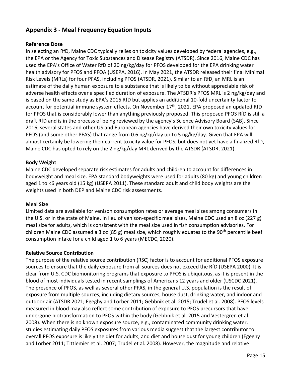## **Appendix 3 - Meal Frequency Equation Inputs**

## **Reference Dose**

In selecting an RfD, Maine CDC typically relies on toxicity values developed by federal agencies, e.g., the EPA or the Agency for Toxic Substances and Disease Registry (ATSDR). Since 2016, Maine CDC has used the EPA's Office of Water RfD of 20 ng/kg/day for PFOS developed for the EPA drinking water health advisory for PFOS and PFOA (USEPA, 2016). In May 2021, the ATSDR released their final Minimal Risk Levels (MRLs) for four PFAS, including PFOS (ATSDR, 2021). Similar to an RfD, an MRL is an estimate of the daily human exposure to a substance that is likely to be without appreciable risk of adverse health effects over a specified duration of exposure. The ATSDR's PFOS MRL is 2 ng/kg/day and is based on the same study as EPA's 2016 RfD but applies an additional 10-fold uncertainty factor to account for potential immune system effects. On November 17<sup>th</sup>, 2021, EPA proposed an updated RfD for PFOS that is considerably lower than anything previously proposed. This proposed PFOS RfD is still a draft RfD and is in the process of being reviewed by the agency's Science Advisory Board (SAB). Since 2016, several states and other US and European agencies have derived their own toxicity values for PFOS (and some other PFAS) that range from 0.6 ng/kg/day up to 5 ng/kg/day. Given that EPA will almost certainly be lowering their current toxicity value for PFOS, but does not yet have a finalized RfD, Maine CDC has opted to rely on the 2 ng/kg/day MRL derived by the ATSDR (ATSDR, 2021).

## **Body Weight**

Maine CDC developed separate risk estimates for adults and children to account for differences in bodyweight and meal size. EPA standard bodyweights were used for adults (80 kg) and young children aged 1 to <6 years old (15 kg) (USEPA 2011). These standard adult and child body weights are the weights used in both DEP and Maine CDC risk assessments.

## **Meal Size**

Limited data are available for venison consumption rates or average meal sizes among consumers in the U.S. or in the state of Maine. In lieu of venison-specific meal sizes, Maine CDC used an 8 oz (227 g) meal size for adults, which is consistent with the meal size used in fish consumption advisories. For children Maine CDC assumed a 3 oz (85 g) meal size, which roughly equates to the 90<sup>th</sup> percentile beef consumption intake for a child aged 1 to 6 years (MECDC, 2020).

## **Relative Source Contribution**

The purpose of the relative source contribution (RSC) factor is to account for additional PFOS exposure sources to ensure that the daily exposure from all sources does not exceed the RfD (USEPA 2000). It is clear from U.S. CDC biomonitoring programs that exposure to PFOS is ubiquitous, as it is present in the blood of most individuals tested in recent samplings of Americans 12 years and older (USCDC 2021). The presence of PFOS, as well as several other PFAS, in the general U.S. population is the result of exposure from multiple sources, including dietary sources, house dust, drinking water, and indoor and outdoor air (ATSDR 2021; Egeghy and Lorber 2011; Gebbnik et al. 2015; Trudel et al. 2008). PFOS levels measured in blood may also reflect some contribution of exposure to PFOS precursors that have undergone biotransformation to PFOS within the body (Gebbnik et al. 2015 and Vestergren et al. 2008). When there is no known exposure source, e.g., contaminated community drinking water, studies estimating daily PFOS exposures from various media suggest that the largest contributor to overall PFOS exposure is likely the diet for adults, and diet and house dust for young children (Egeghy and Lorber 2011; Tittlemier et al. 2007; Trudel et al. 2008). However, the magnitude and relative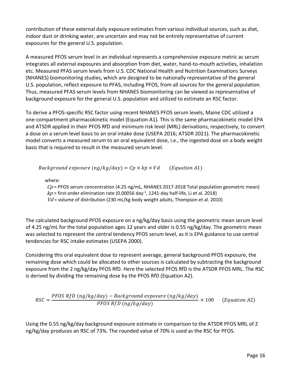contribution of these external daily exposure estimates from various individual sources, such as diet, indoor dust or drinking water, are uncertain and may not be entirely representative of current exposures for the general U.S. population.

A measured PFOS serum level in an individual represents a comprehensive exposure metric as serum integrates all external exposures and absorption from diet, water, hand-to-mouth activities, inhalation etc. Measured PFAS serum levels from U.S. CDC National Health and Nutrition Examinations Surveys (NHANES) biomonitoring studies, which are designed to be nationally representative of the general U.S. population, reflect exposure to PFAS, including PFOS, from all sources for the general population. Thus, measured PFAS serum levels from NHANES biomonitoring can be viewed as representative of background exposure for the general U.S. population and utilized to estimate an RSC factor.

To derive a PFOS-specific RSC factor using recent NHANES PFOS serum levels, Maine CDC utilized a one-compartment pharmacokinetic model (Equation A1). This is the same pharmacokinetic model EPA and ATSDR applied in their PFOS RfD and minimum risk level (MRL) derivations, respectively, to convert a dose on a serum level basis to an oral intake dose (USEPA 2016; ATSDR 2021). The pharmacokinetic model converts a measured serum to an oral equivalent dose, i.e., the ingested dose on a body weight basis that is required to result in the measured serum level.

Background exposure  $(ng/kg/day) = Cp \times kp \times Vd$  (Equation A1)

where:

 $Cp$  = PFOS serum concentration (4.25 ng/mL, NHANES 2017-2018 Total population geometric mean)  $kp$  = first-order elimination rate (0.00056 day<sup>-1</sup>, 1241-day half-life, Li et al. 2018)  $Vd$  = volume of distribution (230 mL/kg-body weight adults, Thompson et al. 2010)

The calculated background PFOS exposure on a ng/kg/day basis using the geometric mean serum level of 4.25 ng/mL for the total population ages 12 years and older is 0.55 ng/kg/day. The geometric mean was selected to represent the central tendency PFOS serum level, as it is EPA guidance to use central tendencies for RSC intake estimates (USEPA 2000).

Considering this oral equivalent dose to represent average, general background PFOS exposure, the remaining dose which could be allocated to other sources is calculated by subtracting the background exposure from the 2 ng/kg/day PFOS RfD. Here the selected PFOS RfD is the ATSDR PFOS MRL. The RSC is derived by dividing the remaining dose by the PFOS RfD (Equation A2).

$$
RSC = \frac{PFOS RfD \left( ng/kg/day \right) - Background \, exposure \left( ng/kg/day \right)}{PFOS RfD \left( ng/kg/day \right)} \times 100 \qquad (Equation A2)
$$

Using the 0.55 ng/kg/day background exposure estimate in comparison to the ATSDR PFOS MRL of 2 ng/kg/day produces an RSC of 73%. The rounded value of 70% is used as the RSC for PFOS.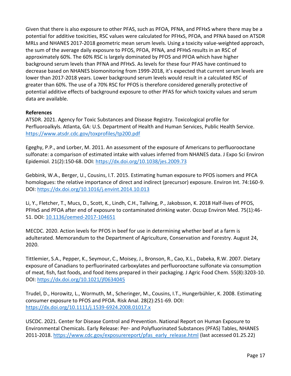Given that there is also exposure to other PFAS, such as PFOA, PFNA, and PFHxS where there may be a potential for additive toxicities, RSC values were calculated for PFHxS, PFOA, and PFNA based on ATSDR MRLs and NHANES 2017-2018 geometric mean serum levels. Using a toxicity value-weighted approach, the sum of the average daily exposure to PFOS, PFOA, PFNA, and PFHxS results in an RSC of approximately 60%. The 60% RSC is largely dominated by PFOS and PFOA which have higher background serum levels than PFNA and PFHxS. As levels for these four PFAS have continued to decrease based on NHANES biomonitoring from 1999-2018, it's expected that current serum levels are lower than 2017-2018 years. Lower background serum levels would result in a calculated RSC of greater than 60%. The use of a 70% RSC for PFOS is therefore considered generally protective of potential additive effects of background exposure to other PFAS for which toxicity values and serum data are available.

## **References**

ATSDR. 2021. Agency for Toxic Substances and Disease Registry. Toxicological profile for Perfluoroalkyls. Atlanta, GA: U.S. Department of Health and Human Services, Public Health Service. <https://www.atsdr.cdc.gov/toxprofiles/tp200.pdf>

Egeghy, P.P., and Lorber, M. 2011. An assessment of the exposure of Americans to perfluorooctane sulfonate: a comparison of estimated intake with values inferred from NHANES data. J Expo Sci Environ Epidemiol. 21(2):150-68. DOI:<https://dx.doi.org/10.1038/jes.2009.73>

Gebbink, W.A., Berger, U., Cousins, I.T. 2015. Estimating human exposure to PFOS isomers and PFCA homologues: the relative importance of direct and indirect (precursor) exposure. Environ Int. 74:160-9. DOI:<https://dx.doi.org/10.1016/j.envint.2014.10.013>

Li, Y., Fletcher, T., Mucs, D., Scott, K., Lindh, C.H., Tallving, P., Jakobsson, K. 2018 Half-lives of PFOS, PFHxS and PFOA after end of exposure to contaminated drinking water. Occup Environ Med. 75(1):46- 51. DOI: [10.1136/oemed-2017-104651](https://doi.org/10.1136/oemed-2017-104651)

MECDC. 2020. Action levels for PFOS in beef for use in determining whether beef at a farm is adulterated. Memorandum to the Department of Agriculture, Conservation and Forestry. August 24, 2020.

Tittlemier, S.A., Pepper, K., Seymour, C., Moisey, J., Bronson, R., Cao, X.L., Dabeka, R.W. 2007. Dietary exposure of Canadians to perfluorinated carboxylates and perfluorooctane sulfonate via consumption of meat, fish, fast foods, and food items prepared in their packaging. J Agric Food Chem. 55(8):3203-10. DOI:<https://dx.doi.org/10.1021/jf0634045>

Trudel, D., Horowitz, L., Wormuth, M., Scheringer, M., Cousins, I.T., Hungerbühler, K. 2008. Estimating consumer exposure to PFOS and PFOA. Risk Anal. 28(2):251-69. DOI: <https://dx.doi.org/10.1111/j.1539-6924.2008.01017.x>

USCDC. 2021. Center for Disease Control and Prevention. National Report on Human Exposure to Environmental Chemicals. Early Release: Per- and Polyfluorinated Substances (PFAS) Tables, NHANES 2011-2018. [https://www.cdc.gov/exposurereport/pfas\\_early\\_release.html](https://www.cdc.gov/exposurereport/pfas_early_release.html) (last accessed 01.25.22)